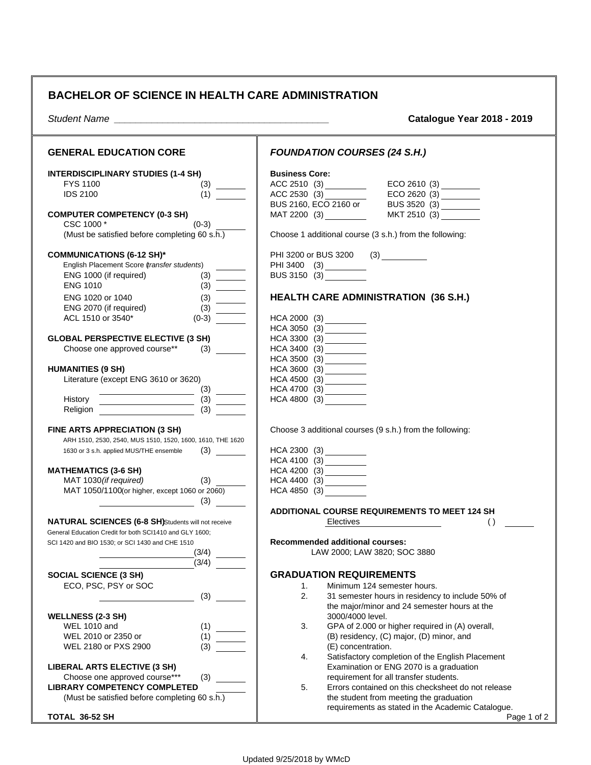## **BACHELOR OF SCIENCE IN HEALTH CARE ADMINISTRATION**

<u> 1989 - Johann Barnett, fransk politik (</u>

*Student Name \_\_\_\_\_\_\_\_\_\_\_\_\_\_\_\_\_\_\_\_\_\_\_\_\_\_\_\_\_\_\_\_\_\_\_\_\_\_\_\_* **Catalogue Year 2018 - 2019**

| <b>GENERAL EDUCATION CORE</b>                                                                                                                                                                                 | <b>FOUNDATION COURSES (24 S.H.)</b>                                                                                                                                                                                                                |
|---------------------------------------------------------------------------------------------------------------------------------------------------------------------------------------------------------------|----------------------------------------------------------------------------------------------------------------------------------------------------------------------------------------------------------------------------------------------------|
| <b>INTERDISCIPLINARY STUDIES (1-4 SH)</b><br><b>FYS 1100</b><br>$(3)$ (1)<br><b>IDS 2100</b><br><b>COMPUTER COMPETENCY (0-3 SH)</b><br>CSC 1000 *<br>$(0-3)$<br>(Must be satisfied before completing 60 s.h.) | <b>Business Core:</b><br>ACC 2510 (3)<br>ACC 2530 (3)<br>BUS 2160, ECO 2160 or<br>MAT 2200 (3)<br>MAT 2200 (3)<br>MAT 2510 (3)<br>Choose 1 additional course (3 s.h.) from the following:                                                          |
| <b>COMMUNICATIONS (6-12 SH)*</b><br>English Placement Score (transfer students)<br>ENG 1000 (if required)<br>(3)<br><b>ENG 1010</b><br>(3)                                                                    | PHI 3200 or BUS 3200 (3)<br>PHI 3400 (3)<br>BUS 3150 (3)                                                                                                                                                                                           |
| ENG 1020 or 1040<br>(3)<br>ENG 2070 (if required)<br>(3)<br>ACL 1510 or 3540*<br>$(0-3)$                                                                                                                      | <b>HEALTH CARE ADMINISTRATION (36 S.H.)</b>                                                                                                                                                                                                        |
| <b>GLOBAL PERSPECTIVE ELECTIVE (3 SH)</b><br>Choose one approved course**<br>(3)<br><b>HUMANITIES (9 SH)</b>                                                                                                  | HCA 3300 (3) _________<br>HCA 3400 (3)<br>HCA 3500 (3) __________<br>HCA 3600 (3) _________                                                                                                                                                        |
| Literature (except ENG 3610 or 3620)<br>(3)<br>History $\qquad \qquad$ (3)<br>(3)<br>Religion <b>Executive Service Service</b>                                                                                | HCA 4500 (3)<br>HCA 4800 (3)                                                                                                                                                                                                                       |
| <b>FINE ARTS APPRECIATION (3 SH)</b><br>ARH 1510, 2530, 2540, MUS 1510, 1520, 1600, 1610, THE 1620<br>1630 or 3 s.h. applied MUS/THE ensemble                                                                 | Choose 3 additional courses (9 s.h.) from the following:<br>HCA 2300 (3)                                                                                                                                                                           |
| <b>MATHEMATICS (3-6 SH)</b><br>(3)<br>MAT 1030 (if required)<br>MAT 1050/1100(or higher, except 1060 or 2060)<br>(3)                                                                                          | HCA 4100 (3)<br>HCA 4200 (3)<br>HCA 4400 (3) __________<br>HCA 4850 (3)                                                                                                                                                                            |
| NATURAL SCIENCES (6-8 SH)Students will not receive<br>General Education Credit for both SCI1410 and GLY 1600;                                                                                                 | <b>ADDITIONAL COURSE REQUIREMENTS TO MEET 124 SH</b><br>Electives<br>$\left( \ \right)$<br><b>Recommended additional courses:</b>                                                                                                                  |
| SCI 1420 and BIO 1530; or SCI 1430 and CHE 1510<br>(3/4)<br>(3/4)<br><b>SOCIAL SCIENCE (3 SH)</b>                                                                                                             | LAW 2000; LAW 3820; SOC 3880<br><b>GRADUATION REQUIREMENTS</b>                                                                                                                                                                                     |
| ECO, PSC, PSY or SOC<br>(3)                                                                                                                                                                                   | Minimum 124 semester hours.<br>1.<br>2.<br>31 semester hours in residency to include 50% of<br>the major/minor and 24 semester hours at the                                                                                                        |
| <b>WELLNESS (2-3 SH)</b><br><b>WEL 1010 and</b><br>(1)<br>WEL 2010 or 2350 or<br>(1)<br>(3)<br>WEL 2180 or PXS 2900                                                                                           | 3000/4000 level.<br>3.<br>GPA of 2.000 or higher required in (A) overall,<br>(B) residency, (C) major, (D) minor, and<br>(E) concentration.                                                                                                        |
| <b>LIBERAL ARTS ELECTIVE (3 SH)</b><br>Choose one approved course***<br>(3)<br><b>LIBRARY COMPETENCY COMPLETED</b><br>(Must be satisfied before completing 60 s.h.)                                           | 4.<br>Satisfactory completion of the English Placement<br>Examination or ENG 2070 is a graduation<br>requirement for all transfer students.<br>5.<br>Errors contained on this checksheet do not release<br>the student from meeting the graduation |
| TOTAL 36-52 SH                                                                                                                                                                                                | requirements as stated in the Academic Catalogue.<br>Page 1 of 2                                                                                                                                                                                   |